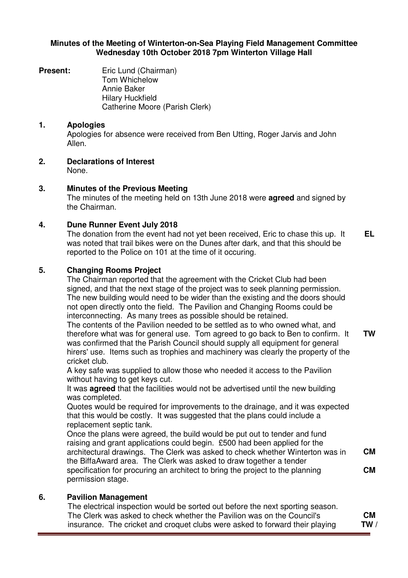#### **Minutes of the Meeting of Winterton-on-Sea Playing Field Management Committee Wednesday 10th October 2018 7pm Winterton Village Hall**

**Present:** Eric Lund (Chairman) Tom Whichelow Annie Baker Hilary Huckfield Catherine Moore (Parish Clerk)

## **1. Apologies**

Apologies for absence were received from Ben Utting, Roger Jarvis and John Allen.

**2. Declarations of Interest** None.

**3. Minutes of the Previous Meeting**

The minutes of the meeting held on 13th June 2018 were **agreed** and signed by the Chairman.

## **4. Dune Runner Event July 2018**

The donation from the event had not yet been received, Eric to chase this up. It was noted that trail bikes were on the Dunes after dark, and that this should be reported to the Police on 101 at the time of it occuring. **EL** 

## **5. Changing Rooms Project**

The Chairman reported that the agreement with the Cricket Club had been signed, and that the next stage of the project was to seek planning permission. The new building would need to be wider than the existing and the doors should not open directly onto the field. The Pavilion and Changing Rooms could be interconnecting. As many trees as possible should be retained.

The contents of the Pavilion needed to be settled as to who owned what, and therefore what was for general use. Tom agreed to go back to Ben to confirm. It was confirmed that the Parish Council should supply all equipment for general hirers' use. Items such as trophies and machinery was clearly the property of the cricket club.

A key safe was supplied to allow those who needed it access to the Pavilion without having to get keys cut.

It was **agreed** that the facilities would not be advertised until the new building was completed.

Quotes would be required for improvements to the drainage, and it was expected that this would be costly. It was suggested that the plans could include a replacement septic tank.

Once the plans were agreed, the build would be put out to tender and fund raising and grant applications could begin. £500 had been applied for the architectural drawings. The Clerk was asked to check whether Winterton was in the BiffaAward area. The Clerk was asked to draw together a tender specification for procuring an architect to bring the project to the planning permission stage. **CM CM** 

# **6. Pavilion Management**

The electrical inspection would be sorted out before the next sporting season. The Clerk was asked to check whether the Pavilion was on the Council's insurance. The cricket and croquet clubs were asked to forward their playing **CM TW /** 

**TW**